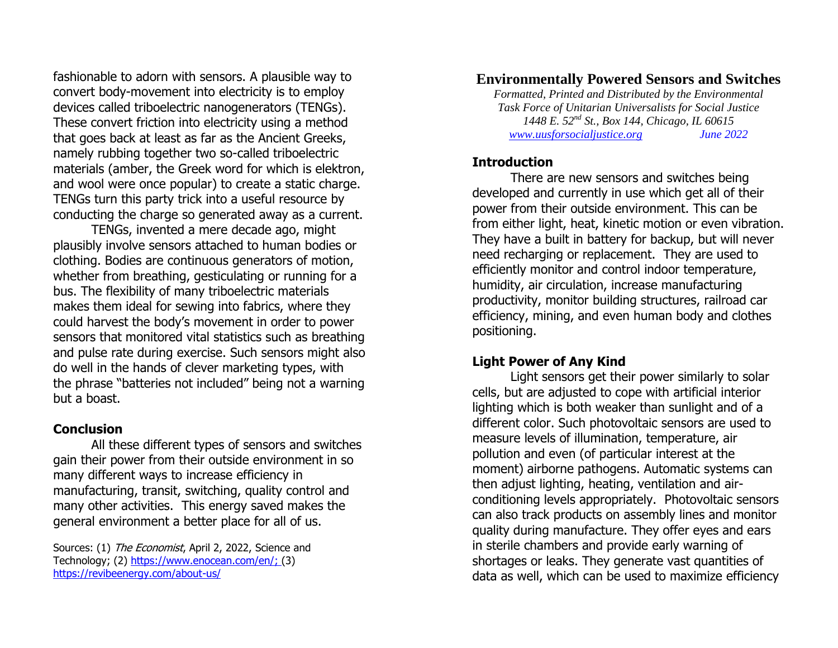fashionable to adorn with sensors. A plausible way to convert body-movement into electricity is to employ devices called triboelectric nanogenerators (TENGs). These convert friction into electricity using a method that goes back at least as far as the Ancient Greeks, namely rubbing together two so-called triboelectric materials (amber, the Greek word for which is elektron, and wool were once popular) to create a static charge. TENGs turn this party trick into a useful resource by conducting the charge so generated away as a current.

TENGs, invented a mere decade ago, might plausibly involve sensors attached to human bodies or clothing. Bodies are continuous generators of motion, whether from breathing, gesticulating or running for a bus. The flexibility of many triboelectric materials makes them ideal for sewing into fabrics, where they could harvest the body's movement in order to power sensors that monitored vital statistics such as breathing and pulse rate during exercise. Such sensors might also do well in the hands of clever marketing types, with the phrase "batteries not included" being not a warning but a boast.

#### **Conclusion**

All these different types of sensors and switches gain their power from their outside environment in so many different ways to increase efficiency in manufacturing, transit, switching, quality control and many other activities. This energy saved makes the general environment a better place for all of us.

Sources: (1) The Economist, April 2, 2022, Science and Technology; (2) [https://www.enocean.com/en/;](https://www.enocean.com/en/) (3) <https://revibeenergy.com/about-us/>

# **Environmentally Powered Sensors and Switches**

*Formatted, Printed and Distributed by the Environmental Task Force of Unitarian Universalists for Social Justice 1448 E. 52nd St., Box 144, Chicago, IL 60615 [www.uusforsocialjustice.org](http://www.uusforsocialjustice.org/) June 2022*

## **Introduction**

There are new sensors and switches being developed and currently in use which get all of their power from their outside environment. This can be from either light, heat, kinetic motion or even vibration. They have a built in battery for backup, but will never need recharging or replacement. They are used to efficiently monitor and control indoor temperature, humidity, air circulation, increase manufacturing productivity, monitor building structures, railroad car efficiency, mining, and even human body and clothes positioning.

## **Light Power of Any Kind**

Light sensors get their power similarly to solar cells, but are adjusted to cope with artificial interior lighting which is both weaker than sunlight and of a different color. Such photovoltaic sensors are used to measure levels of illumination, temperature, air pollution and even (of particular interest at the moment) airborne pathogens. Automatic systems can then adjust lighting, heating, ventilation and airconditioning levels appropriately. Photovoltaic sensors can also track products on assembly lines and monitor quality during manufacture. They offer eyes and ears in sterile chambers and provide early warning of shortages or leaks. They generate vast quantities of data as well, which can be used to maximize efficiency